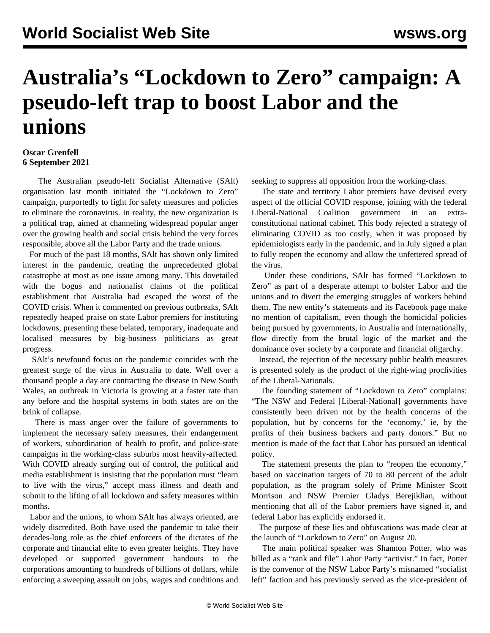## **Australia's "Lockdown to Zero" campaign: A pseudo-left trap to boost Labor and the unions**

## **Oscar Grenfell 6 September 2021**

 The Australian pseudo-left Socialist Alternative (SAlt) organisation last month initiated the "Lockdown to Zero" campaign, purportedly to fight for safety measures and policies to eliminate the coronavirus. In reality, the new organization is a political trap, aimed at channeling widespread popular anger over the growing health and social crisis behind the very forces responsible, above all the Labor Party and the trade unions.

 For much of the past 18 months, SAlt has shown only limited interest in the pandemic, treating the unprecedented global catastrophe at most as one issue among many. This dovetailed with the bogus and nationalist claims of the political establishment that Australia had escaped the worst of the COVID crisis. When it commented on previous outbreaks, SAlt repeatedly heaped praise on state Labor premiers for instituting lockdowns, presenting these belated, temporary, inadequate and localised measures by big-business politicians as great progress.

 SAlt's newfound focus on the pandemic coincides with the greatest surge of the virus in Australia to date. Well over a thousand people a day are contracting the disease in New South Wales, an outbreak in Victoria is growing at a faster rate than any before and the hospital systems in both states are on the brink of collapse.

 There is mass anger over the failure of governments to implement the necessary safety measures, their endangerment of workers, subordination of health to profit, and police-state campaigns in the working-class suburbs most heavily-affected. With COVID already surging out of control, the political and media establishment is insisting that the population must "learn to live with the virus," accept mass illness and death and submit to the lifting of all lockdown and safety measures within months.

 Labor and the unions, to whom SAlt has always oriented, are widely discredited. Both have used the pandemic to take their decades-long role as the chief enforcers of the dictates of the corporate and financial elite to even greater heights. They have developed or supported government handouts to the corporations amounting to hundreds of billions of dollars, while enforcing a sweeping assault on jobs, wages and conditions and seeking to suppress all opposition from the working-class.

 The state and territory Labor premiers have devised every aspect of the official COVID response, joining with the federal Liberal-National Coalition government in an extraconstitutional national cabinet. This body rejected a strategy of eliminating COVID as too costly, when it was proposed by epidemiologists early in the pandemic, and in July signed a plan to fully reopen the economy and allow the unfettered spread of the virus.

 Under these conditions, SAlt has formed "Lockdown to Zero" as part of a desperate attempt to bolster Labor and the unions and to divert the emerging struggles of workers behind them. The new entity's statements and its Facebook page make no mention of capitalism, even though the homicidal policies being pursued by governments, in Australia and internationally, flow directly from the brutal logic of the market and the dominance over society by a corporate and financial oligarchy.

 Instead, the rejection of the necessary public health measures is presented solely as the product of the right-wing proclivities of the Liberal-Nationals.

 The founding statement of "Lockdown to Zero" complains: "The NSW and Federal [Liberal-National] governments have consistently been driven not by the health concerns of the population, but by concerns for the 'economy,' ie, by the profits of their business backers and party donors." But no mention is made of the fact that Labor has pursued an identical policy.

 The statement presents the plan to "reopen the economy," based on vaccination targets of 70 to 80 percent of the adult population, as the program solely of Prime Minister Scott Morrison and NSW Premier Gladys Berejiklian, without mentioning that all of the Labor premiers have signed it, and federal Labor has explicitly endorsed it.

 The purpose of these lies and obfuscations was made clear at the launch of "Lockdown to Zero" on August 20.

 The main political speaker was Shannon Potter, who was billed as a "rank and file" Labor Party "activist." In fact, Potter is the convenor of the NSW Labor Party's misnamed "socialist left" faction and has previously served as the vice-president of